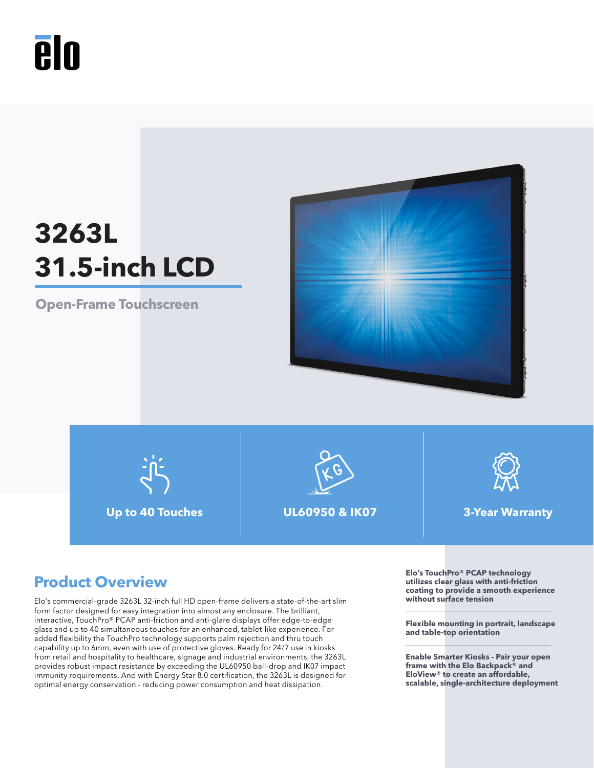

# **3263L 31.5-inch LCD**

**Open-Frame Touchscreen**



**Up to 40 Touches UL60950 & IK07 3-Year Warranty**





Elo's commercial-grade 3263L 32-inch full HD open-frame delivers a state-of-the-art slim form factor designed for easy integration into almost any enclosure. The brilliant, interactive, TouchPro® PCAP anti-friction and anti-glare displays offer edge-to-edge glass and up to 40 simultaneous touches for an enhanced, tablet-like experience. For added flexibility the TouchPro technology supports palm rejection and thru touch capability up to 6mm, even with use of protective gloves. Ready for 24/7 use in kiosks from retail and hospitality to healthcare, signage and industrial environments, the 3263L provides robust impact resistance by exceeding the UL60950 ball-drop and IK07 impact immunity requirements. And with Energy Star 8.0 certification, the 3263L is designed for optimal energy conservation - reducing power consumption and heat dissipation.

**Product Overview**<br> **Product Overview Elo's TouchPro® PCAP** technology<br> **utilizes clear glass with anti-friction**<br>
costing to provide a smooth experie **coating to provide a smooth experience without surface tension** 

> **Flexible mounting in portrait, landscape and table-top orientation**

**Enable Smarter Kiosks - Pair your open frame with the Elo Backpack® and EloView® to create an affordable, scalable, single-architecture deployment**